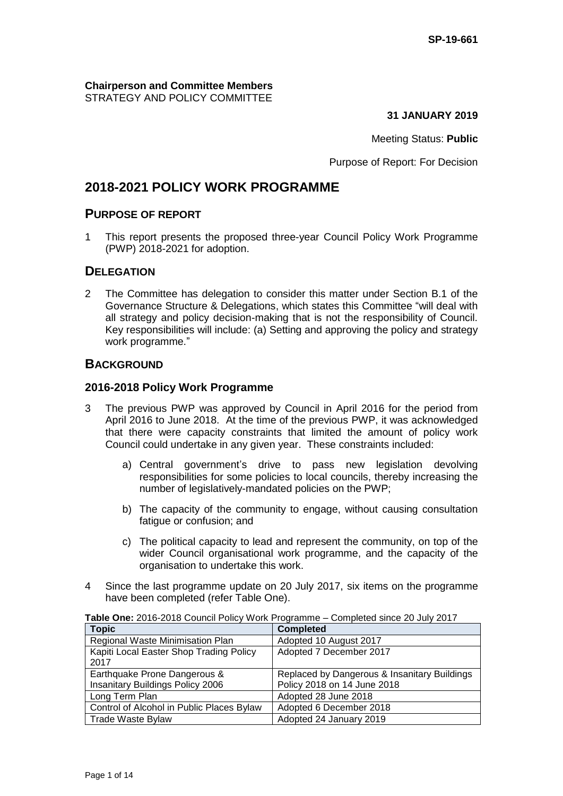**Chairperson and Committee Members** STRATEGY AND POLICY COMMITTEE

**31 JANUARY 2019**

Meeting Status: **Public**

Purpose of Report: For Decision

# **2018-2021 POLICY WORK PROGRAMME**

# **PURPOSE OF REPORT**

1 This report presents the proposed three-year Council Policy Work Programme (PWP) 2018-2021 for adoption.

# **DELEGATION**

2 The Committee has delegation to consider this matter under Section B.1 of the Governance Structure & Delegations, which states this Committee "will deal with all strategy and policy decision-making that is not the responsibility of Council. Key responsibilities will include: (a) Setting and approving the policy and strategy work programme."

# **BACKGROUND**

#### **2016-2018 Policy Work Programme**

- 3 The previous PWP was approved by Council in April 2016 for the period from April 2016 to June 2018. At the time of the previous PWP, it was acknowledged that there were capacity constraints that limited the amount of policy work Council could undertake in any given year. These constraints included:
	- a) Central government's drive to pass new legislation devolving responsibilities for some policies to local councils, thereby increasing the number of legislatively-mandated policies on the PWP;
	- b) The capacity of the community to engage, without causing consultation fatigue or confusion; and
	- c) The political capacity to lead and represent the community, on top of the wider Council organisational work programme, and the capacity of the organisation to undertake this work.
- 4 Since the last programme update on 20 July 2017, six items on the programme have been completed (refer Table One).

| <b>Topic</b>                              | <b>Completed</b>                             |
|-------------------------------------------|----------------------------------------------|
| Regional Waste Minimisation Plan          | Adopted 10 August 2017                       |
| Kapiti Local Easter Shop Trading Policy   | Adopted 7 December 2017                      |
| 2017                                      |                                              |
| Earthquake Prone Dangerous &              | Replaced by Dangerous & Insanitary Buildings |
| Insanitary Buildings Policy 2006          | Policy 2018 on 14 June 2018                  |
| Long Term Plan                            | Adopted 28 June 2018                         |
| Control of Alcohol in Public Places Bylaw | Adopted 6 December 2018                      |
| Trade Waste Bylaw                         | Adopted 24 January 2019                      |

**Table One:** 2016-2018 Council Policy Work Programme – Completed since 20 July 2017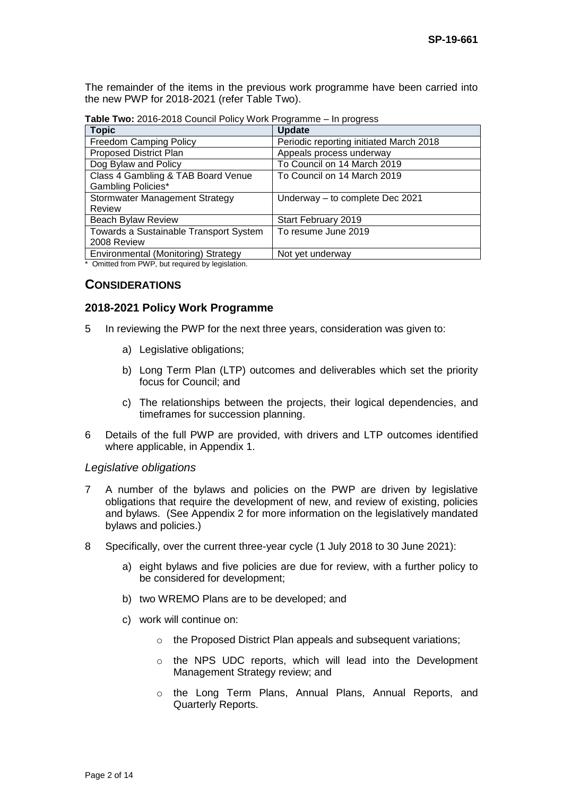The remainder of the items in the previous work programme have been carried into the new PWP for 2018-2021 (refer Table Two).

**Table Two:** 2016-2018 Council Policy Work Programme – In progress

| <b>Topic</b>                           | <b>Update</b>                           |
|----------------------------------------|-----------------------------------------|
| <b>Freedom Camping Policy</b>          | Periodic reporting initiated March 2018 |
| <b>Proposed District Plan</b>          | Appeals process underway                |
| Dog Bylaw and Policy                   | To Council on 14 March 2019             |
| Class 4 Gambling & TAB Board Venue     | To Council on 14 March 2019             |
| <b>Gambling Policies*</b>              |                                         |
| <b>Stormwater Management Strategy</b>  | Underway - to complete Dec 2021         |
| Review                                 |                                         |
| <b>Beach Bylaw Review</b>              | Start February 2019                     |
| Towards a Sustainable Transport System | To resume June 2019                     |
| 2008 Review                            |                                         |
| Environmental (Monitoring) Strategy    | Not yet underway                        |

\* Omitted from PWP, but required by legislation.

# **CONSIDERATIONS**

#### **2018-2021 Policy Work Programme**

- 5 In reviewing the PWP for the next three years, consideration was given to:
	- a) Legislative obligations;
	- b) Long Term Plan (LTP) outcomes and deliverables which set the priority focus for Council; and
	- c) The relationships between the projects, their logical dependencies, and timeframes for succession planning.
- 6 Details of the full PWP are provided, with drivers and LTP outcomes identified where applicable, in Appendix 1.

#### *Legislative obligations*

- 7 A number of the bylaws and policies on the PWP are driven by legislative obligations that require the development of new, and review of existing, policies and bylaws. (See Appendix 2 for more information on the legislatively mandated bylaws and policies.)
- 8 Specifically, over the current three-year cycle (1 July 2018 to 30 June 2021):
	- a) eight bylaws and five policies are due for review, with a further policy to be considered for development;
	- b) two WREMO Plans are to be developed; and
	- c) work will continue on:
		- o the Proposed District Plan appeals and subsequent variations;
		- o the NPS UDC reports, which will lead into the Development Management Strategy review; and
		- o the Long Term Plans, Annual Plans, Annual Reports, and Quarterly Reports.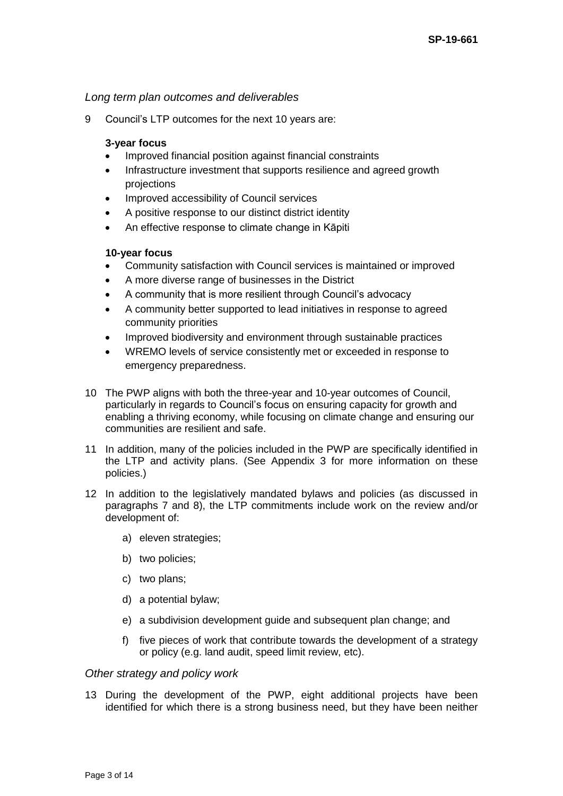# *Long term plan outcomes and deliverables*

9 Council's LTP outcomes for the next 10 years are:

### **3-year focus**

- Improved financial position against financial constraints
- Infrastructure investment that supports resilience and agreed growth projections
- Improved accessibility of Council services
- A positive response to our distinct district identity
- An effective response to climate change in Kāpiti

# **10-year focus**

- Community satisfaction with Council services is maintained or improved
- A more diverse range of businesses in the District
- A community that is more resilient through Council's advocacy
- A community better supported to lead initiatives in response to agreed community priorities
- Improved biodiversity and environment through sustainable practices
- WREMO levels of service consistently met or exceeded in response to emergency preparedness.
- 10 The PWP aligns with both the three-year and 10-year outcomes of Council, particularly in regards to Council's focus on ensuring capacity for growth and enabling a thriving economy, while focusing on climate change and ensuring our communities are resilient and safe.
- 11 In addition, many of the policies included in the PWP are specifically identified in the LTP and activity plans. (See Appendix 3 for more information on these policies.)
- 12 In addition to the legislatively mandated bylaws and policies (as discussed in paragraphs 7 and 8), the LTP commitments include work on the review and/or development of:
	- a) eleven strategies;
	- b) two policies;
	- c) two plans;
	- d) a potential bylaw;
	- e) a subdivision development guide and subsequent plan change; and
	- f) five pieces of work that contribute towards the development of a strategy or policy (e.g. land audit, speed limit review, etc).

#### *Other strategy and policy work*

13 During the development of the PWP, eight additional projects have been identified for which there is a strong business need, but they have been neither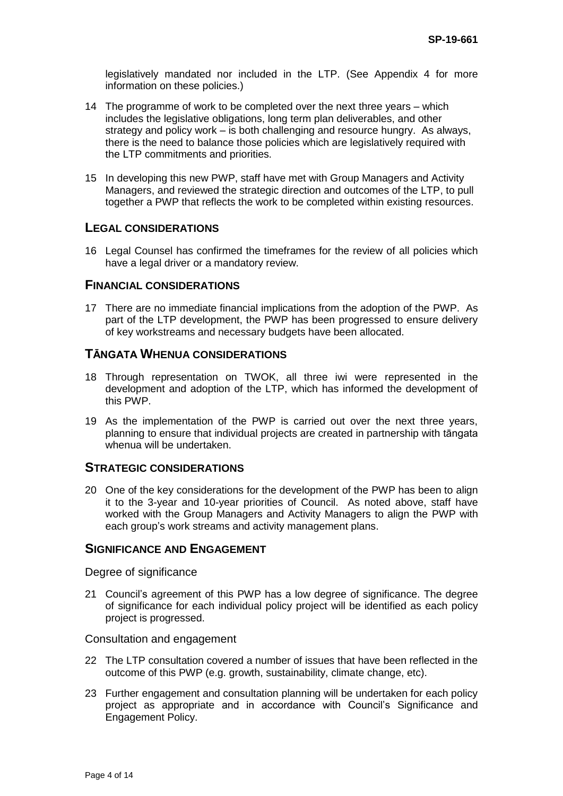legislatively mandated nor included in the LTP. (See Appendix 4 for more information on these policies.)

- 14 The programme of work to be completed over the next three years which includes the legislative obligations, long term plan deliverables, and other strategy and policy work – is both challenging and resource hungry. As always, there is the need to balance those policies which are legislatively required with the LTP commitments and priorities.
- 15 In developing this new PWP, staff have met with Group Managers and Activity Managers, and reviewed the strategic direction and outcomes of the LTP, to pull together a PWP that reflects the work to be completed within existing resources.

# **LEGAL CONSIDERATIONS**

16 Legal Counsel has confirmed the timeframes for the review of all policies which have a legal driver or a mandatory review.

#### **FINANCIAL CONSIDERATIONS**

17 There are no immediate financial implications from the adoption of the PWP. As part of the LTP development, the PWP has been progressed to ensure delivery of key workstreams and necessary budgets have been allocated.

#### **TĀNGATA WHENUA CONSIDERATIONS**

- 18 Through representation on TWOK, all three iwi were represented in the development and adoption of the LTP, which has informed the development of this PWP.
- 19 As the implementation of the PWP is carried out over the next three years, planning to ensure that individual projects are created in partnership with tāngata whenua will be undertaken.

#### **STRATEGIC CONSIDERATIONS**

20 One of the key considerations for the development of the PWP has been to align it to the 3-year and 10-year priorities of Council. As noted above, staff have worked with the Group Managers and Activity Managers to align the PWP with each group's work streams and activity management plans.

#### **SIGNIFICANCE AND ENGAGEMENT**

Degree of significance

21 Council's agreement of this PWP has a low degree of significance. The degree of significance for each individual policy project will be identified as each policy project is progressed.

#### Consultation and engagement

- 22 The LTP consultation covered a number of issues that have been reflected in the outcome of this PWP (e.g. growth, sustainability, climate change, etc).
- 23 Further engagement and consultation planning will be undertaken for each policy project as appropriate and in accordance with Council's Significance and Engagement Policy.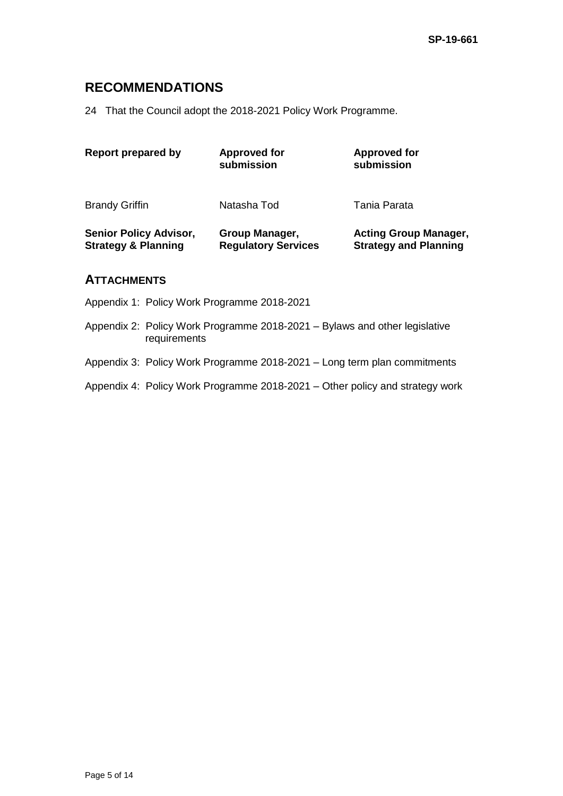# **RECOMMENDATIONS**

24 That the Council adopt the 2018-2021 Policy Work Programme.

| <b>Report prepared by</b>                                       | <b>Approved for</b><br>submission            | <b>Approved for</b><br>submission                            |
|-----------------------------------------------------------------|----------------------------------------------|--------------------------------------------------------------|
| <b>Brandy Griffin</b>                                           | Natasha Tod                                  | Tania Parata                                                 |
| <b>Senior Policy Advisor,</b><br><b>Strategy &amp; Planning</b> | Group Manager,<br><b>Regulatory Services</b> | <b>Acting Group Manager,</b><br><b>Strategy and Planning</b> |

# **ATTACHMENTS**

- Appendix 1: Policy Work Programme 2018-2021
- Appendix 2: Policy Work Programme 2018-2021 Bylaws and other legislative requirements
- Appendix 3: Policy Work Programme 2018-2021 Long term plan commitments
- Appendix 4: Policy Work Programme 2018-2021 Other policy and strategy work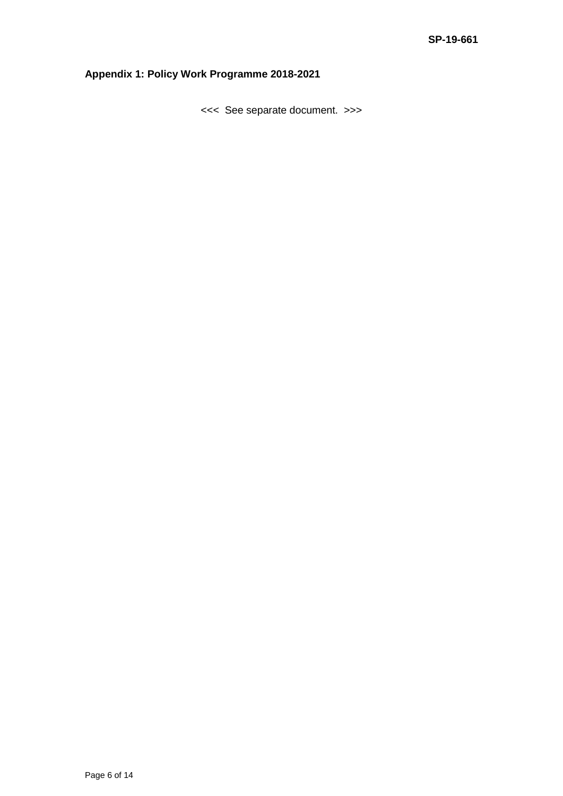# **Appendix 1: Policy Work Programme 2018-2021**

<<< See separate document. >>>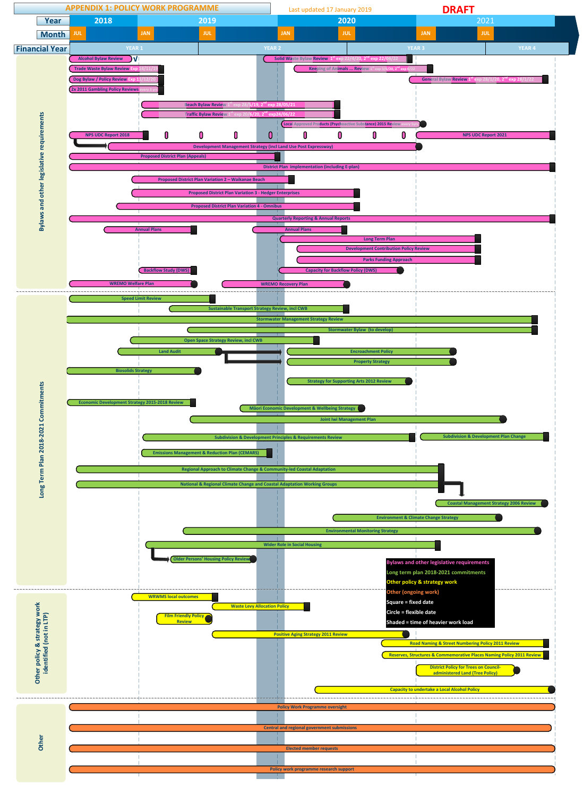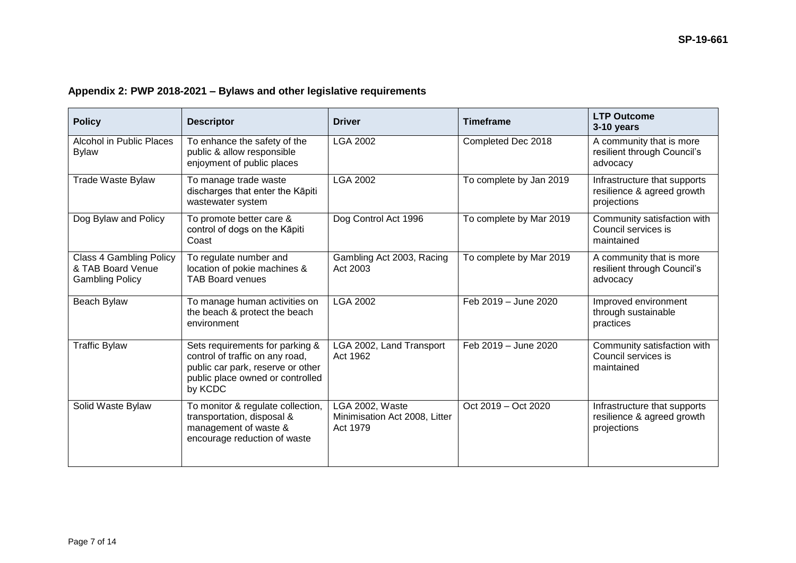|  | Appendix 2: PWP 2018-2021 - Bylaws and other legislative requirements |
|--|-----------------------------------------------------------------------|
|--|-----------------------------------------------------------------------|

| <b>Policy</b>                                                          | <b>Descriptor</b>                                                                                                                                      | <b>Driver</b>                                                | <b>Timeframe</b>        | <b>LTP Outcome</b><br>3-10 years                                          |
|------------------------------------------------------------------------|--------------------------------------------------------------------------------------------------------------------------------------------------------|--------------------------------------------------------------|-------------------------|---------------------------------------------------------------------------|
| Alcohol in Public Places<br><b>Bylaw</b>                               | To enhance the safety of the<br>public & allow responsible<br>enjoyment of public places                                                               | <b>LGA 2002</b>                                              | Completed Dec 2018      | A community that is more<br>resilient through Council's<br>advocacy       |
| <b>Trade Waste Bylaw</b>                                               | To manage trade waste<br>discharges that enter the Kāpiti<br>wastewater system                                                                         | <b>LGA 2002</b>                                              | To complete by Jan 2019 | Infrastructure that supports<br>resilience & agreed growth<br>projections |
| Dog Bylaw and Policy                                                   | To promote better care &<br>control of dogs on the Kāpiti<br>Coast                                                                                     | Dog Control Act 1996                                         | To complete by Mar 2019 | Community satisfaction with<br>Council services is<br>maintained          |
| Class 4 Gambling Policy<br>& TAB Board Venue<br><b>Gambling Policy</b> | To regulate number and<br>location of pokie machines &<br><b>TAB Board venues</b>                                                                      | Gambling Act 2003, Racing<br>Act 2003                        | To complete by Mar 2019 | A community that is more<br>resilient through Council's<br>advocacy       |
| Beach Bylaw                                                            | To manage human activities on<br>the beach & protect the beach<br>environment                                                                          | <b>LGA 2002</b>                                              | Feb 2019 - June 2020    | Improved environment<br>through sustainable<br>practices                  |
| <b>Traffic Bylaw</b>                                                   | Sets requirements for parking &<br>control of traffic on any road,<br>public car park, reserve or other<br>public place owned or controlled<br>by KCDC | LGA 2002, Land Transport<br>Act 1962                         | Feb 2019 - June 2020    | Community satisfaction with<br>Council services is<br>maintained          |
| Solid Waste Bylaw                                                      | To monitor & regulate collection,<br>transportation, disposal &<br>management of waste &<br>encourage reduction of waste                               | LGA 2002, Waste<br>Minimisation Act 2008, Litter<br>Act 1979 | Oct 2019 - Oct 2020     | Infrastructure that supports<br>resilience & agreed growth<br>projections |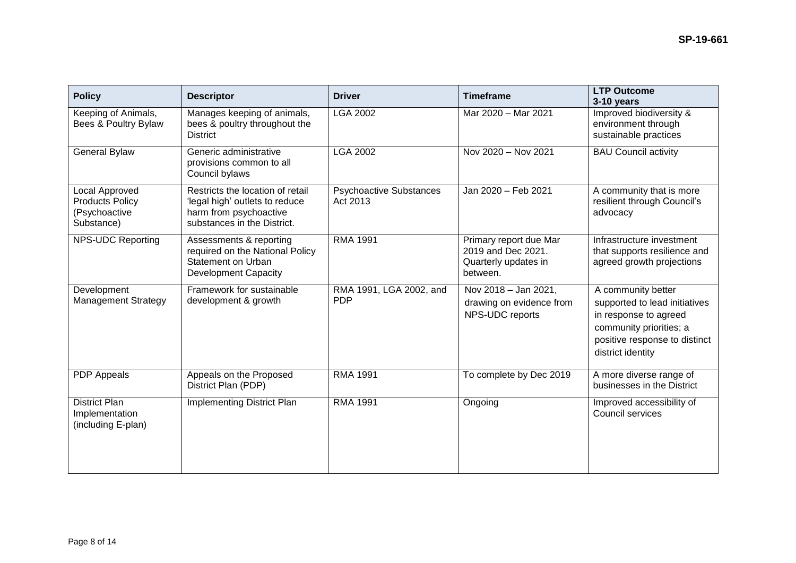| <b>Policy</b>                                                                  | <b>Descriptor</b>                                                                                                           | <b>Driver</b>                              | <b>Timeframe</b>                                                                 | <b>LTP Outcome</b><br>3-10 years                                                                                                                              |
|--------------------------------------------------------------------------------|-----------------------------------------------------------------------------------------------------------------------------|--------------------------------------------|----------------------------------------------------------------------------------|---------------------------------------------------------------------------------------------------------------------------------------------------------------|
| Keeping of Animals,<br>Bees & Poultry Bylaw                                    | Manages keeping of animals,<br>bees & poultry throughout the<br><b>District</b>                                             | LGA 2002                                   | Mar 2020 - Mar 2021                                                              | Improved biodiversity &<br>environment through<br>sustainable practices                                                                                       |
| <b>General Bylaw</b>                                                           | Generic administrative<br>provisions common to all<br>Council bylaws                                                        | <b>LGA 2002</b>                            | Nov 2020 - Nov 2021                                                              | <b>BAU Council activity</b>                                                                                                                                   |
| <b>Local Approved</b><br><b>Products Policy</b><br>(Psychoactive<br>Substance) | Restricts the location of retail<br>'legal high' outlets to reduce<br>harm from psychoactive<br>substances in the District. | <b>Psychoactive Substances</b><br>Act 2013 | Jan 2020 - Feb 2021                                                              | A community that is more<br>resilient through Council's<br>advocacy                                                                                           |
| <b>NPS-UDC Reporting</b>                                                       | Assessments & reporting<br>required on the National Policy<br>Statement on Urban<br><b>Development Capacity</b>             | <b>RMA 1991</b>                            | Primary report due Mar<br>2019 and Dec 2021.<br>Quarterly updates in<br>between. | Infrastructure investment<br>that supports resilience and<br>agreed growth projections                                                                        |
| Development<br><b>Management Strategy</b>                                      | Framework for sustainable<br>development & growth                                                                           | RMA 1991, LGA 2002, and<br><b>PDP</b>      | Nov 2018 - Jan 2021,<br>drawing on evidence from<br>NPS-UDC reports              | A community better<br>supported to lead initiatives<br>in response to agreed<br>community priorities; a<br>positive response to distinct<br>district identity |
| PDP Appeals                                                                    | Appeals on the Proposed<br>District Plan (PDP)                                                                              | <b>RMA 1991</b>                            | To complete by Dec 2019                                                          | A more diverse range of<br>businesses in the District                                                                                                         |
| <b>District Plan</b><br>Implementation<br>(including E-plan)                   | Implementing District Plan                                                                                                  | <b>RMA 1991</b>                            | Ongoing                                                                          | Improved accessibility of<br>Council services                                                                                                                 |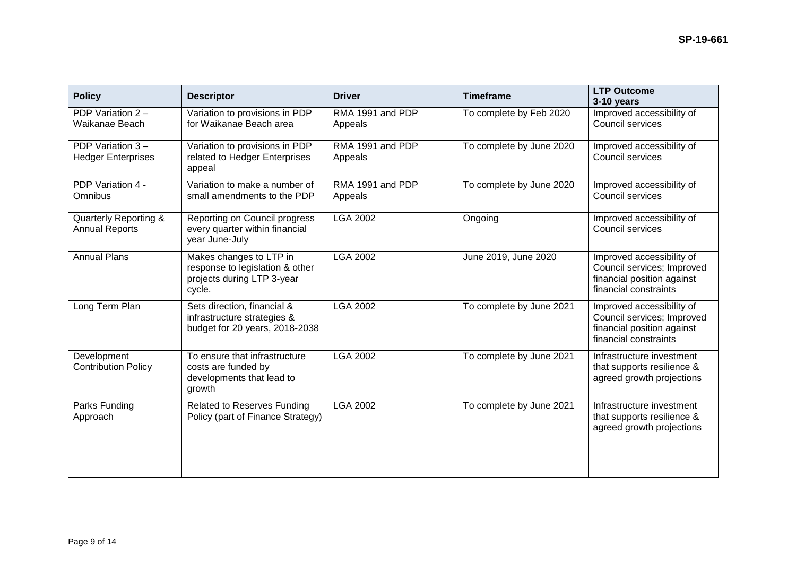| <b>Policy</b>                                  | <b>Descriptor</b>                                                                                  | <b>Driver</b>               | <b>Timeframe</b>         | <b>LTP Outcome</b><br>3-10 years                                                                               |
|------------------------------------------------|----------------------------------------------------------------------------------------------------|-----------------------------|--------------------------|----------------------------------------------------------------------------------------------------------------|
| PDP Variation 2 -<br>Waikanae Beach            | Variation to provisions in PDP<br>for Waikanae Beach area                                          | RMA 1991 and PDP<br>Appeals | To complete by Feb 2020  | Improved accessibility of<br>Council services                                                                  |
| PDP Variation 3-<br><b>Hedger Enterprises</b>  | Variation to provisions in PDP<br>related to Hedger Enterprises<br>appeal                          | RMA 1991 and PDP<br>Appeals | To complete by June 2020 | Improved accessibility of<br>Council services                                                                  |
| PDP Variation 4 -<br>Omnibus                   | Variation to make a number of<br>small amendments to the PDP                                       | RMA 1991 and PDP<br>Appeals | To complete by June 2020 | Improved accessibility of<br>Council services                                                                  |
| Quarterly Reporting &<br><b>Annual Reports</b> | Reporting on Council progress<br>every quarter within financial<br>year June-July                  | <b>LGA 2002</b>             | Ongoing                  | Improved accessibility of<br>Council services                                                                  |
| <b>Annual Plans</b>                            | Makes changes to LTP in<br>response to legislation & other<br>projects during LTP 3-year<br>cycle. | <b>LGA 2002</b>             | June 2019, June 2020     | Improved accessibility of<br>Council services; Improved<br>financial position against<br>financial constraints |
| Long Term Plan                                 | Sets direction, financial &<br>infrastructure strategies &<br>budget for 20 years, 2018-2038       | <b>LGA 2002</b>             | To complete by June 2021 | Improved accessibility of<br>Council services; Improved<br>financial position against<br>financial constraints |
| Development<br><b>Contribution Policy</b>      | To ensure that infrastructure<br>costs are funded by<br>developments that lead to<br>growth        | <b>LGA 2002</b>             | To complete by June 2021 | Infrastructure investment<br>that supports resilience &<br>agreed growth projections                           |
| Parks Funding<br>Approach                      | <b>Related to Reserves Funding</b><br>Policy (part of Finance Strategy)                            | <b>LGA 2002</b>             | To complete by June 2021 | Infrastructure investment<br>that supports resilience &<br>agreed growth projections                           |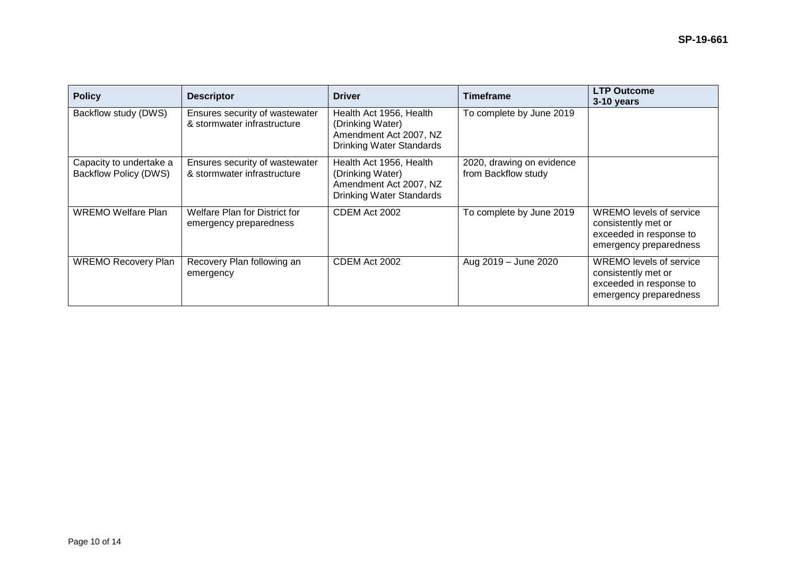| <b>Policy</b>                                           | <b>Descriptor</b>                                             | <b>Driver</b>                                                                                            | Timeframe                                        | <b>LTP Outcome</b><br>3-10 years                                                                    |
|---------------------------------------------------------|---------------------------------------------------------------|----------------------------------------------------------------------------------------------------------|--------------------------------------------------|-----------------------------------------------------------------------------------------------------|
| Backflow study (DWS)                                    | Ensures security of wastewater<br>& stormwater infrastructure | Health Act 1956, Health<br>(Drinking Water)<br>Amendment Act 2007, NZ<br><b>Drinking Water Standards</b> | To complete by June 2019                         |                                                                                                     |
| Capacity to undertake a<br><b>Backflow Policy (DWS)</b> | Ensures security of wastewater<br>& stormwater infrastructure | Health Act 1956, Health<br>(Drinking Water)<br>Amendment Act 2007, NZ<br><b>Drinking Water Standards</b> | 2020, drawing on evidence<br>from Backflow study |                                                                                                     |
| <b>WREMO Welfare Plan</b>                               | Welfare Plan for District for<br>emergency preparedness       | CDEM Act 2002                                                                                            | To complete by June 2019                         | WREMO levels of service<br>consistently met or<br>exceeded in response to<br>emergency preparedness |
| <b>WREMO Recovery Plan</b>                              | Recovery Plan following an<br>emergency                       | CDEM Act 2002                                                                                            | Aug 2019 - June 2020                             | WREMO levels of service<br>consistently met or<br>exceeded in response to<br>emergency preparedness |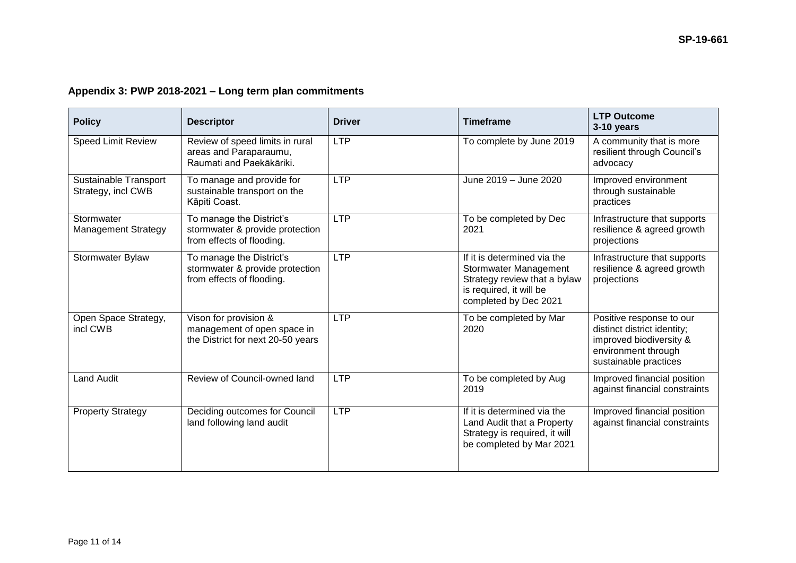# **Appendix 3: PWP 2018-2021 – Long term plan commitments**

| <b>Policy</b>                               | <b>Descriptor</b>                                                                         | <b>Driver</b> | <b>Timeframe</b>                                                                                                                         | <b>LTP Outcome</b><br>3-10 years                                                                                                   |
|---------------------------------------------|-------------------------------------------------------------------------------------------|---------------|------------------------------------------------------------------------------------------------------------------------------------------|------------------------------------------------------------------------------------------------------------------------------------|
| <b>Speed Limit Review</b>                   | Review of speed limits in rural<br>areas and Paraparaumu,<br>Raumati and Paekākāriki.     | <b>LTP</b>    | To complete by June 2019                                                                                                                 | A community that is more<br>resilient through Council's<br>advocacy                                                                |
| Sustainable Transport<br>Strategy, incl CWB | To manage and provide for<br>sustainable transport on the<br>Kāpiti Coast.                | <b>LTP</b>    | June 2019 - June 2020                                                                                                                    | Improved environment<br>through sustainable<br>practices                                                                           |
| Stormwater<br><b>Management Strategy</b>    | To manage the District's<br>stormwater & provide protection<br>from effects of flooding.  | <b>LTP</b>    | To be completed by Dec<br>2021                                                                                                           | Infrastructure that supports<br>resilience & agreed growth<br>projections                                                          |
| Stormwater Bylaw                            | To manage the District's<br>stormwater & provide protection<br>from effects of flooding.  | <b>LTP</b>    | If it is determined via the<br>Stormwater Management<br>Strategy review that a bylaw<br>is required, it will be<br>completed by Dec 2021 | Infrastructure that supports<br>resilience & agreed growth<br>projections                                                          |
| Open Space Strategy,<br>incl CWB            | Vison for provision &<br>management of open space in<br>the District for next 20-50 years | <b>LTP</b>    | To be completed by Mar<br>2020                                                                                                           | Positive response to our<br>distinct district identity;<br>improved biodiversity &<br>environment through<br>sustainable practices |
| <b>Land Audit</b>                           | Review of Council-owned land                                                              | <b>LTP</b>    | To be completed by Aug<br>2019                                                                                                           | Improved financial position<br>against financial constraints                                                                       |
| <b>Property Strategy</b>                    | Deciding outcomes for Council<br>land following land audit                                | <b>LTP</b>    | If it is determined via the<br>Land Audit that a Property<br>Strategy is required, it will<br>be completed by Mar 2021                   | Improved financial position<br>against financial constraints                                                                       |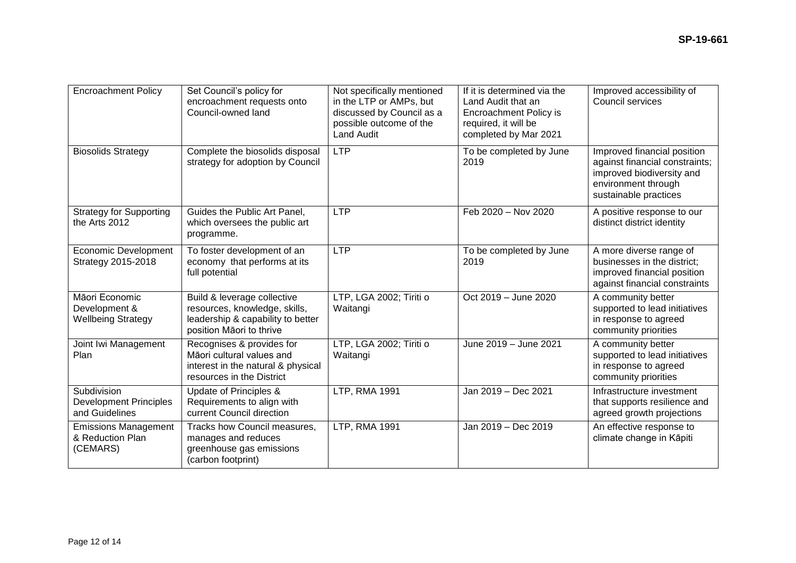| <b>Encroachment Policy</b>                                     | Set Council's policy for<br>encroachment requests onto<br>Council-owned land                                                  | Not specifically mentioned<br>in the LTP or AMPs, but<br>discussed by Council as a<br>possible outcome of the<br><b>Land Audit</b> | If it is determined via the<br>Land Audit that an<br>Encroachment Policy is<br>required, it will be<br>completed by Mar 2021 | Improved accessibility of<br>Council services                                                                                              |
|----------------------------------------------------------------|-------------------------------------------------------------------------------------------------------------------------------|------------------------------------------------------------------------------------------------------------------------------------|------------------------------------------------------------------------------------------------------------------------------|--------------------------------------------------------------------------------------------------------------------------------------------|
| <b>Biosolids Strategy</b>                                      | Complete the biosolids disposal<br>strategy for adoption by Council                                                           | <b>LTP</b>                                                                                                                         | To be completed by June<br>2019                                                                                              | Improved financial position<br>against financial constraints;<br>improved biodiversity and<br>environment through<br>sustainable practices |
| <b>Strategy for Supporting</b><br>the Arts 2012                | Guides the Public Art Panel,<br>which oversees the public art<br>programme.                                                   | <b>LTP</b>                                                                                                                         | Feb 2020 - Nov 2020                                                                                                          | A positive response to our<br>distinct district identity                                                                                   |
| <b>Economic Development</b><br>Strategy 2015-2018              | To foster development of an<br>economy that performs at its<br>full potential                                                 | <b>LTP</b>                                                                                                                         | To be completed by June<br>2019                                                                                              | A more diverse range of<br>businesses in the district;<br>improved financial position<br>against financial constraints                     |
| Māori Economic<br>Development &<br><b>Wellbeing Strategy</b>   | Build & leverage collective<br>resources, knowledge, skills,<br>leadership & capability to better<br>position Māori to thrive | LTP, LGA 2002; Tiriti o<br>Waitangi                                                                                                | Oct 2019 - June 2020                                                                                                         | A community better<br>supported to lead initiatives<br>in response to agreed<br>community priorities                                       |
| Joint Iwi Management<br>Plan                                   | Recognises & provides for<br>Māori cultural values and<br>interest in the natural & physical<br>resources in the District     | LTP, LGA 2002; Tiriti o<br>Waitangi                                                                                                | June 2019 - June 2021                                                                                                        | A community better<br>supported to lead initiatives<br>in response to agreed<br>community priorities                                       |
| Subdivision<br><b>Development Principles</b><br>and Guidelines | Update of Principles &<br>Requirements to align with<br>current Council direction                                             | LTP, RMA 1991                                                                                                                      | Jan 2019 - Dec 2021                                                                                                          | Infrastructure investment<br>that supports resilience and<br>agreed growth projections                                                     |
| <b>Emissions Management</b><br>& Reduction Plan<br>(CEMARS)    | Tracks how Council measures,<br>manages and reduces<br>greenhouse gas emissions<br>(carbon footprint)                         | LTP, RMA 1991                                                                                                                      | Jan 2019 - Dec 2019                                                                                                          | An effective response to<br>climate change in Kāpiti                                                                                       |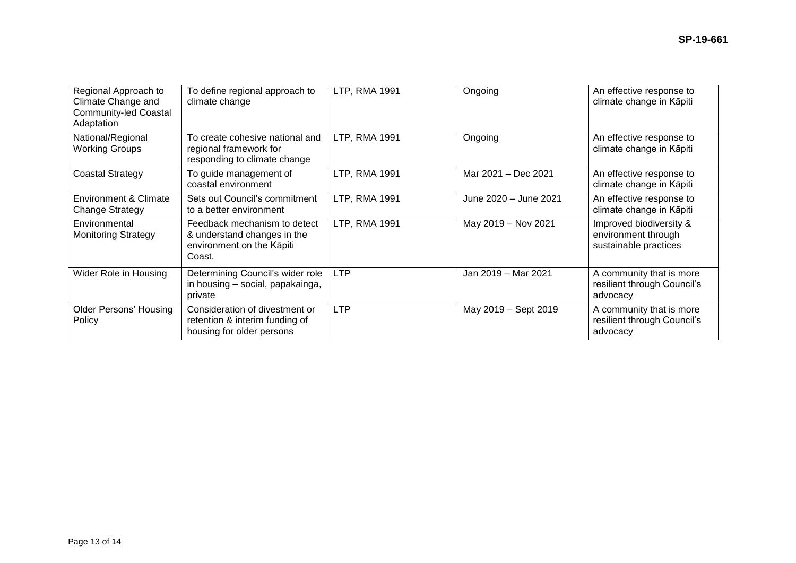| Regional Approach to<br>Climate Change and<br><b>Community-led Coastal</b><br>Adaptation | To define regional approach to<br>climate change                                                   | LTP, RMA 1991 | Ongoing               | An effective response to<br>climate change in Kāpiti                    |
|------------------------------------------------------------------------------------------|----------------------------------------------------------------------------------------------------|---------------|-----------------------|-------------------------------------------------------------------------|
| National/Regional<br><b>Working Groups</b>                                               | To create cohesive national and<br>regional framework for<br>responding to climate change          | LTP, RMA 1991 | Ongoing               | An effective response to<br>climate change in Kāpiti                    |
| <b>Coastal Strategy</b>                                                                  | To guide management of<br>coastal environment                                                      | LTP, RMA 1991 | Mar 2021 - Dec 2021   | An effective response to<br>climate change in Kāpiti                    |
| <b>Environment &amp; Climate</b><br><b>Change Strategy</b>                               | Sets out Council's commitment<br>to a better environment                                           | LTP, RMA 1991 | June 2020 - June 2021 | An effective response to<br>climate change in Kāpiti                    |
| Environmental<br><b>Monitoring Strategy</b>                                              | Feedback mechanism to detect<br>& understand changes in the<br>environment on the Kāpiti<br>Coast. | LTP, RMA 1991 | May 2019 - Nov 2021   | Improved biodiversity &<br>environment through<br>sustainable practices |
| Wider Role in Housing                                                                    | Determining Council's wider role<br>in housing - social, papakainga,<br>private                    | <b>LTP</b>    | Jan 2019 - Mar 2021   | A community that is more<br>resilient through Council's<br>advocacy     |
| <b>Older Persons' Housing</b><br>Policy                                                  | Consideration of divestment or<br>retention & interim funding of<br>housing for older persons      | <b>LTP</b>    | May 2019 - Sept 2019  | A community that is more<br>resilient through Council's<br>advocacy     |